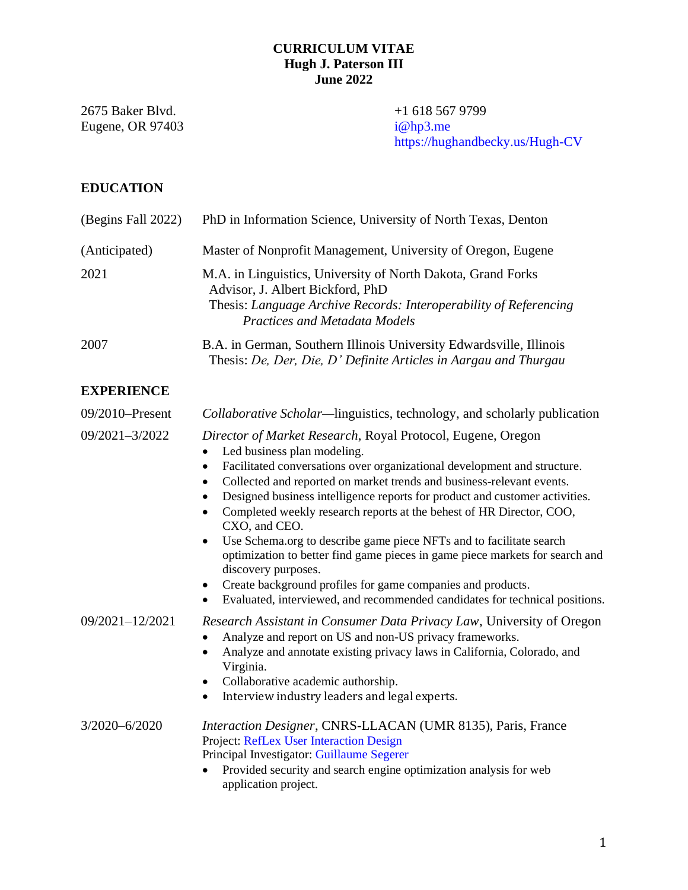## **CURRICULUM VITAE Hugh J. Paterson III June 2022**

2675 Baker Blvd. +1 618 567 9799<br>Eugene, OR 97403 i@hp3.me Eugene, OR 97403

<https://hughandbecky.us/Hugh-CV>

# **EDUCATION**

| (Begins Fall 2022) | PhD in Information Science, University of North Texas, Denton                                                                                                                                                                                                                                                                                                                                                                                                                                                                                                                                                                                                                                                                                                                              |
|--------------------|--------------------------------------------------------------------------------------------------------------------------------------------------------------------------------------------------------------------------------------------------------------------------------------------------------------------------------------------------------------------------------------------------------------------------------------------------------------------------------------------------------------------------------------------------------------------------------------------------------------------------------------------------------------------------------------------------------------------------------------------------------------------------------------------|
| (Anticipated)      | Master of Nonprofit Management, University of Oregon, Eugene                                                                                                                                                                                                                                                                                                                                                                                                                                                                                                                                                                                                                                                                                                                               |
| 2021               | M.A. in Linguistics, University of North Dakota, Grand Forks<br>Advisor, J. Albert Bickford, PhD<br>Thesis: Language Archive Records: Interoperability of Referencing<br><b>Practices and Metadata Models</b>                                                                                                                                                                                                                                                                                                                                                                                                                                                                                                                                                                              |
| 2007               | B.A. in German, Southern Illinois University Edwardsville, Illinois<br>Thesis: De, Der, Die, D' Definite Articles in Aargau and Thurgau                                                                                                                                                                                                                                                                                                                                                                                                                                                                                                                                                                                                                                                    |
| <b>EXPERIENCE</b>  |                                                                                                                                                                                                                                                                                                                                                                                                                                                                                                                                                                                                                                                                                                                                                                                            |
| 09/2010-Present    | Collaborative Scholar—linguistics, technology, and scholarly publication                                                                                                                                                                                                                                                                                                                                                                                                                                                                                                                                                                                                                                                                                                                   |
| 09/2021-3/2022     | Director of Market Research, Royal Protocol, Eugene, Oregon<br>Led business plan modeling.<br>Facilitated conversations over organizational development and structure.<br>$\bullet$<br>Collected and reported on market trends and business-relevant events.<br>$\bullet$<br>Designed business intelligence reports for product and customer activities.<br>Completed weekly research reports at the behest of HR Director, COO,<br>CXO, and CEO.<br>Use Schema.org to describe game piece NFTs and to facilitate search<br>$\bullet$<br>optimization to better find game pieces in game piece markets for search and<br>discovery purposes.<br>Create background profiles for game companies and products.<br>Evaluated, interviewed, and recommended candidates for technical positions. |
| 09/2021-12/2021    | Research Assistant in Consumer Data Privacy Law, University of Oregon<br>Analyze and report on US and non-US privacy frameworks.<br>Analyze and annotate existing privacy laws in California, Colorado, and<br>$\bullet$<br>Virginia.<br>Collaborative academic authorship.<br>$\bullet$<br>Interview industry leaders and legal experts.<br>$\bullet$                                                                                                                                                                                                                                                                                                                                                                                                                                     |
| 3/2020-6/2020      | Interaction Designer, CNRS-LLACAN (UMR 8135), Paris, France<br>Project: RefLex User Interaction Design<br>Principal Investigator: Guillaume Segerer<br>Provided security and search engine optimization analysis for web<br>application project.                                                                                                                                                                                                                                                                                                                                                                                                                                                                                                                                           |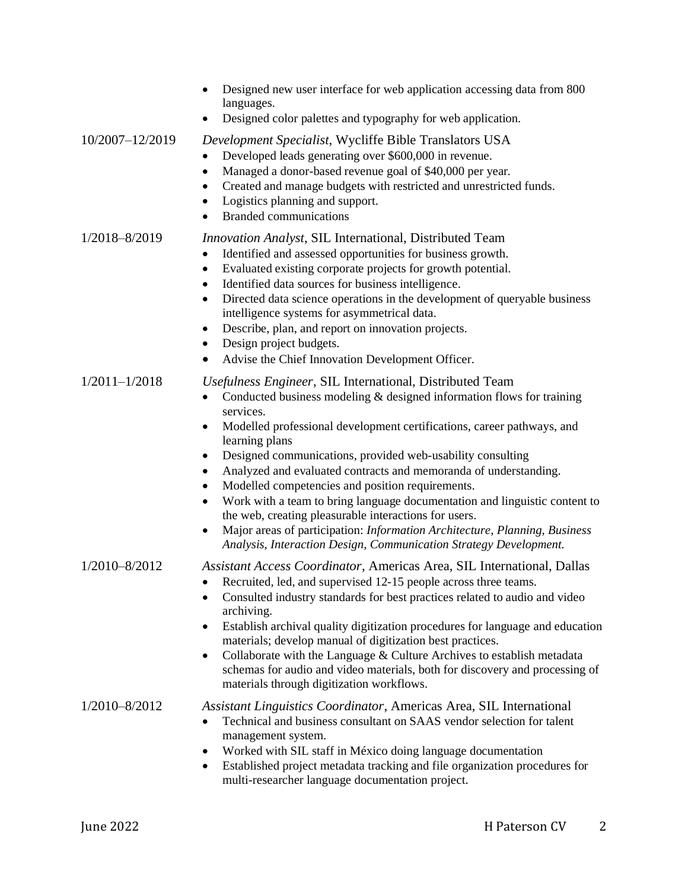|                   | Designed new user interface for web application accessing data from 800<br>languages.<br>Designed color palettes and typography for web application.                                                                                                                                                                                                                                                                                                                                                                                                                                                                                                                                                                                                        |
|-------------------|-------------------------------------------------------------------------------------------------------------------------------------------------------------------------------------------------------------------------------------------------------------------------------------------------------------------------------------------------------------------------------------------------------------------------------------------------------------------------------------------------------------------------------------------------------------------------------------------------------------------------------------------------------------------------------------------------------------------------------------------------------------|
| 10/2007-12/2019   | Development Specialist, Wycliffe Bible Translators USA<br>Developed leads generating over \$600,000 in revenue.<br>Managed a donor-based revenue goal of \$40,000 per year.<br>$\bullet$<br>Created and manage budgets with restricted and unrestricted funds.<br>٠<br>Logistics planning and support.<br><b>Branded communications</b>                                                                                                                                                                                                                                                                                                                                                                                                                     |
| 1/2018-8/2019     | <i>Innovation Analyst, SIL International, Distributed Team</i><br>Identified and assessed opportunities for business growth.<br>٠<br>Evaluated existing corporate projects for growth potential.<br>$\bullet$<br>Identified data sources for business intelligence.<br>$\bullet$<br>Directed data science operations in the development of queryable business<br>$\bullet$<br>intelligence systems for asymmetrical data.<br>Describe, plan, and report on innovation projects.<br>٠<br>Design project budgets.<br>٠<br>Advise the Chief Innovation Development Officer.                                                                                                                                                                                    |
| $1/2011 - 1/2018$ | Usefulness Engineer, SIL International, Distributed Team<br>Conducted business modeling & designed information flows for training<br>services.<br>Modelled professional development certifications, career pathways, and<br>$\bullet$<br>learning plans<br>Designed communications, provided web-usability consulting<br>٠<br>Analyzed and evaluated contracts and memoranda of understanding.<br>٠<br>Modelled competencies and position requirements.<br>Work with a team to bring language documentation and linguistic content to<br>٠<br>the web, creating pleasurable interactions for users.<br>Major areas of participation: Information Architecture, Planning, Business<br>٠<br>Analysis, Interaction Design, Communication Strategy Development. |
| 1/2010-8/2012     | Assistant Access Coordinator, Americas Area, SIL International, Dallas<br>• Recruited, led, and supervised 12-15 people across three teams.<br>Consulted industry standards for best practices related to audio and video<br>archiving.<br>Establish archival quality digitization procedures for language and education<br>٠<br>materials; develop manual of digitization best practices.<br>Collaborate with the Language & Culture Archives to establish metadata<br>٠<br>schemas for audio and video materials, both for discovery and processing of<br>materials through digitization workflows.                                                                                                                                                       |
| 1/2010-8/2012     | Assistant Linguistics Coordinator, Americas Area, SIL International<br>Technical and business consultant on SAAS vendor selection for talent<br>management system.<br>Worked with SIL staff in México doing language documentation<br>٠<br>Established project metadata tracking and file organization procedures for<br>٠<br>multi-researcher language documentation project.                                                                                                                                                                                                                                                                                                                                                                              |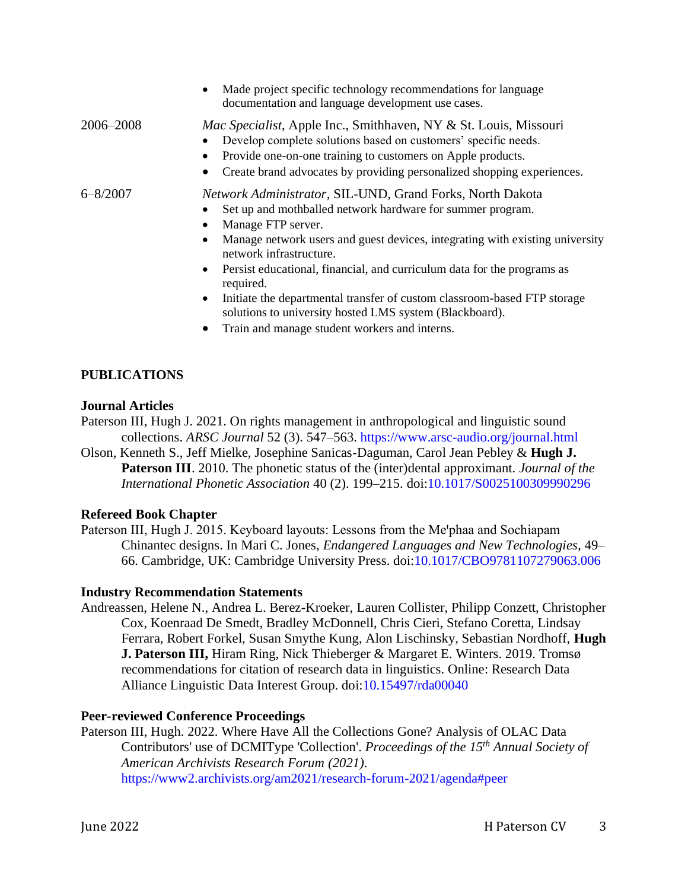|              | Made project specific technology recommendations for language<br>$\bullet$<br>documentation and language development use cases.                                                                                                                                                                                                                                                                                                                                                                                   |
|--------------|-------------------------------------------------------------------------------------------------------------------------------------------------------------------------------------------------------------------------------------------------------------------------------------------------------------------------------------------------------------------------------------------------------------------------------------------------------------------------------------------------------------------|
| 2006–2008    | Mac Specialist, Apple Inc., Smithhaven, NY & St. Louis, Missouri<br>Develop complete solutions based on customers' specific needs.<br>Provide one-on-one training to customers on Apple products.<br>$\bullet$<br>Create brand advocates by providing personalized shopping experiences.<br>$\bullet$                                                                                                                                                                                                             |
| $6 - 8/2007$ | Network Administrator, SIL-UND, Grand Forks, North Dakota<br>Set up and mothballed network hardware for summer program.<br>Manage FTP server.<br>Manage network users and guest devices, integrating with existing university<br>$\bullet$<br>network infrastructure.<br>Persist educational, financial, and curriculum data for the programs as<br>required.<br>Initiate the departmental transfer of custom classroom-based FTP storage<br>$\bullet$<br>solutions to university hosted LMS system (Blackboard). |
|              | Train and manage student workers and interns.                                                                                                                                                                                                                                                                                                                                                                                                                                                                     |

## **PUBLICATIONS**

#### **Journal Articles**

Paterson III, Hugh J. 2021. On rights management in anthropological and linguistic sound collections. *ARSC Journal* 52 (3). 547–563. <https://www.arsc-audio.org/journal.html>

Olson, Kenneth S., Jeff Mielke, Josephine Sanicas-Daguman, Carol Jean Pebley & **Hugh J. Paterson III**. 2010. The phonetic status of the (inter)dental approximant. *Journal of the International Phonetic Association* 40 (2). 199–215. doi[:10.1017/S0025100309990296](http://dx.doi.org/10.1017/S0025100309990296)

#### **Refereed Book Chapter**

Paterson III, Hugh J. 2015. Keyboard layouts: Lessons from the Me'phaa and Sochiapam Chinantec designs. In Mari C. Jones, *Endangered Languages and New Technologies*, 49– 66. Cambridge, UK: Cambridge University Press. doi[:10.1017/CBO9781107279063.006](https://doi.org/10.1017/CBO9781107279063.006)

#### **Industry Recommendation Statements**

Andreassen, Helene N., Andrea L. Berez-Kroeker, Lauren Collister, Philipp Conzett, Christopher Cox, Koenraad De Smedt, Bradley McDonnell, Chris Cieri, Stefano Coretta, Lindsay Ferrara, Robert Forkel, Susan Smythe Kung, Alon Lischinsky, Sebastian Nordhoff, **Hugh J. Paterson III,** Hiram Ring, Nick Thieberger & Margaret E. Winters. 2019. Tromsø recommendations for citation of research data in linguistics. Online: Research Data Alliance Linguistic Data Interest Group. doi[:10.15497/rda00040](https://doi.org/10.15497/rda00040)

#### **Peer-reviewed Conference Proceedings**

Paterson III, Hugh. 2022. Where Have All the Collections Gone? Analysis of OLAC Data Contributors' use of DCMIType 'Collection'. *Proceedings of the 15th Annual Society of American Archivists Research Forum (2021)*. <https://www2.archivists.org/am2021/research-forum-2021/agenda#peer>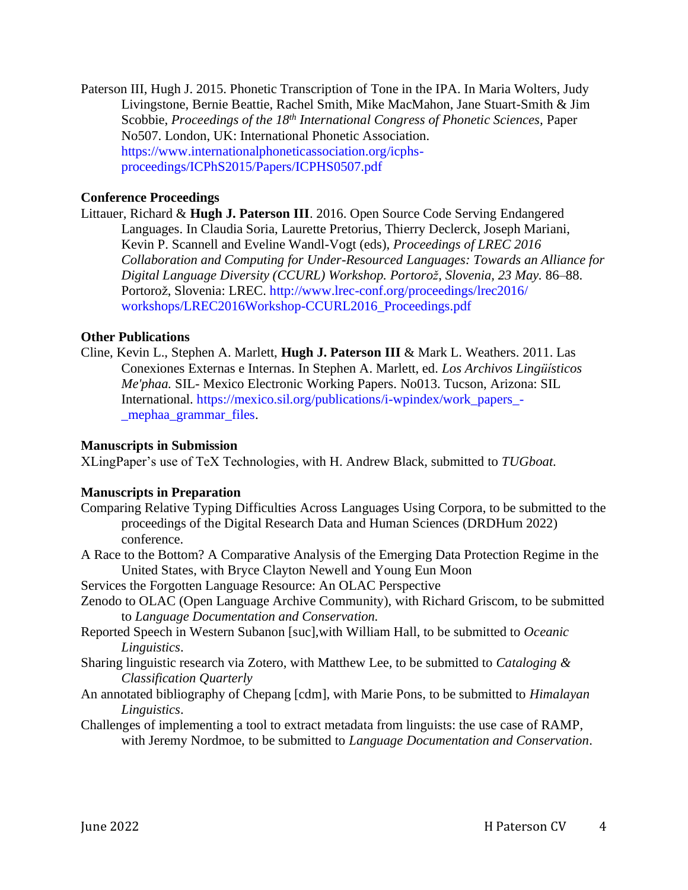Paterson III, Hugh J. 2015. Phonetic Transcription of Tone in the IPA. In Maria Wolters, Judy Livingstone, Bernie Beattie, Rachel Smith, Mike MacMahon, Jane Stuart-Smith & Jim Scobbie, *Proceedings of the 18th International Congress of Phonetic Sciences,* Paper No507. London, UK: International Phonetic Association. [https://www.internationalphoneticassociation.org/icphs](https://www.internationalphoneticassociation.org/icphs-proceedings/ICPhS2015/Papers/ICPHS0507.pdf)[proceedings/ICPhS2015/Papers/ICPHS0507.pdf](https://www.internationalphoneticassociation.org/icphs-proceedings/ICPhS2015/Papers/ICPHS0507.pdf)

### **Conference Proceedings**

Littauer, Richard & **Hugh J. Paterson III**. 2016. Open Source Code Serving Endangered Languages. In Claudia Soria, Laurette Pretorius, Thierry Declerck, Joseph Mariani, Kevin P. Scannell and Eveline Wandl-Vogt (eds), *Proceedings of LREC 2016 Collaboration and Computing for Under-Resourced Languages: Towards an Alliance for Digital Language Diversity (CCURL) Workshop. Portorož, Slovenia, 23 May.* 86–88. Portorož, Slovenia: LREC. [http://www.lrec-conf.org/proceedings/lrec2016/](http://www.lrec-conf.org/proceedings/lrec2016/%20workshops/LREC2016Workshop-CCURL2016_Proceedings.pdf)  [workshops/LREC2016Workshop-CCURL2016\\_Proceedings.pdf](http://www.lrec-conf.org/proceedings/lrec2016/%20workshops/LREC2016Workshop-CCURL2016_Proceedings.pdf)

#### **Other Publications**

Cline, Kevin L., Stephen A. Marlett, **Hugh J. Paterson III** & Mark L. Weathers. 2011. Las Conexiones Externas e Internas. In Stephen A. Marlett, ed. *Los Archivos Lingüísticos Me'phaa.* SIL- Mexico Electronic Working Papers. No013. Tucson, Arizona: SIL International. [https://mexico.sil.org/publications/i-wpindex/work\\_papers\\_-](https://mexico.sil.org/publications/i-wpindex/work_papers_-_mephaa_grammar_files) [\\_mephaa\\_grammar\\_files.](https://mexico.sil.org/publications/i-wpindex/work_papers_-_mephaa_grammar_files)

#### **Manuscripts in Submission**

XLingPaper's use of TeX Technologies, with H. Andrew Black, submitted to *TUGboat*.

#### **Manuscripts in Preparation**

- Comparing Relative Typing Difficulties Across Languages Using Corpora, to be submitted to the proceedings of the Digital Research Data and Human Sciences (DRDHum 2022) conference.
- A Race to the Bottom? A Comparative Analysis of the Emerging Data Protection Regime in the United States, with Bryce Clayton Newell and Young Eun Moon
- Services the Forgotten Language Resource: An OLAC Perspective
- Zenodo to OLAC (Open Language Archive Community), with Richard Griscom, to be submitted to *Language Documentation and Conservation.*
- Reported Speech in Western Subanon [suc],with William Hall, to be submitted to *Oceanic Linguistics*.
- Sharing linguistic research via Zotero, with Matthew Lee, to be submitted to *Cataloging & Classification Quarterly*
- An annotated bibliography of Chepang [cdm], with Marie Pons, to be submitted to *Himalayan Linguistics*.
- Challenges of implementing a tool to extract metadata from linguists: the use case of RAMP, with Jeremy Nordmoe, to be submitted to *Language Documentation and Conservation*.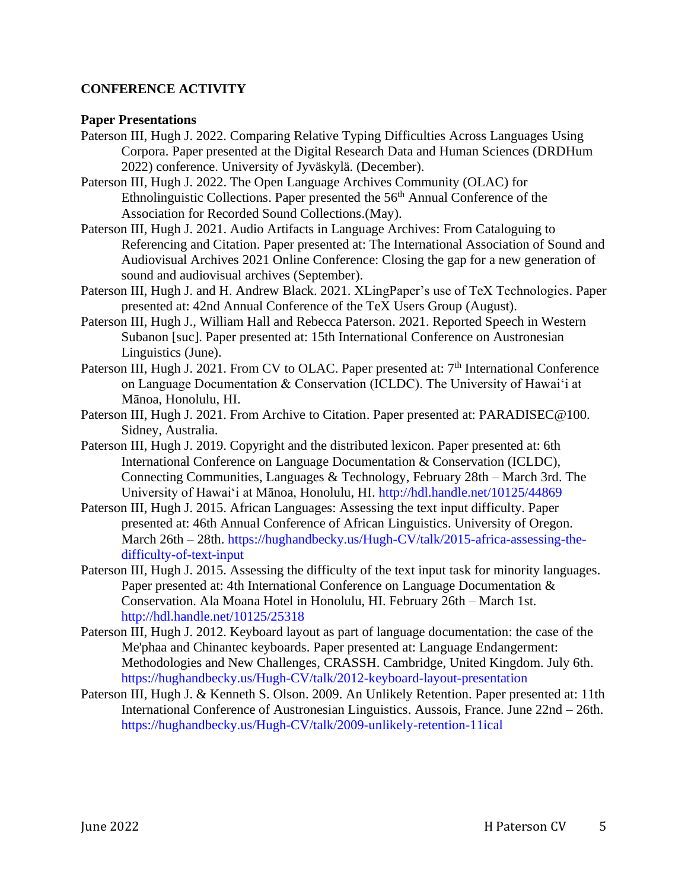## **CONFERENCE ACTIVITY**

### **Paper Presentations**

- Paterson III, Hugh J. 2022. Comparing Relative Typing Difficulties Across Languages Using Corpora. Paper presented at the Digital Research Data and Human Sciences (DRDHum 2022) conference. University of Jyväskylä. (December).
- Paterson III, Hugh J. 2022. The Open Language Archives Community (OLAC) for Ethnolinguistic Collections. Paper presented the 56<sup>th</sup> Annual Conference of the Association for Recorded Sound Collections.(May).
- Paterson III, Hugh J. 2021. Audio Artifacts in Language Archives: From Cataloguing to Referencing and Citation. Paper presented at: The International Association of Sound and Audiovisual Archives 2021 Online Conference: Closing the gap for a new generation of sound and audiovisual archives (September).
- Paterson III, Hugh J. and H. Andrew Black. 2021. XLingPaper's use of TeX Technologies. Paper presented at: 42nd Annual Conference of the TeX Users Group (August).
- Paterson III, Hugh J., William Hall and Rebecca Paterson. 2021. Reported Speech in Western Subanon [suc]. Paper presented at: 15th International Conference on Austronesian Linguistics (June).
- Paterson III, Hugh J. 2021. From CV to OLAC. Paper presented at: 7<sup>th</sup> International Conference on Language Documentation & Conservation (ICLDC). The University of Hawaiʻi at Mānoa, Honolulu, HI.
- Paterson III, Hugh J. 2021. From Archive to Citation. Paper presented at: PARADISEC@100. Sidney, Australia.
- Paterson III, Hugh J. 2019. Copyright and the distributed lexicon. Paper presented at: 6th International Conference on Language Documentation & Conservation (ICLDC), Connecting Communities, Languages & Technology, February 28th – March 3rd. The University of Hawaiʻi at Mānoa, Honolulu, HI.<http://hdl.handle.net/10125/44869>
- Paterson III, Hugh J. 2015. African Languages: Assessing the text input difficulty. Paper presented at: 46th Annual Conference of African Linguistics. University of Oregon. March 26th – 28th. [https://hughandbecky.us/Hugh-CV/talk/2015-africa-assessing-the](https://hughandbecky.us/Hugh-CV/talk/2015-africa-assessing-the-difficulty-of-text-input)[difficulty-of-text-input](https://hughandbecky.us/Hugh-CV/talk/2015-africa-assessing-the-difficulty-of-text-input)
- Paterson III, Hugh J. 2015. Assessing the difficulty of the text input task for minority languages. Paper presented at: 4th International Conference on Language Documentation  $\&$ Conservation. Ala Moana Hotel in Honolulu, HI. February 26th – March 1st. <http://hdl.handle.net/10125/25318>
- Paterson III, Hugh J. 2012. Keyboard layout as part of language documentation: the case of the Me'phaa and Chinantec keyboards. Paper presented at: Language Endangerment: Methodologies and New Challenges, CRASSH. Cambridge, United Kingdom. July 6th. <https://hughandbecky.us/Hugh-CV/talk/2012-keyboard-layout-presentation>
- Paterson III, Hugh J. & Kenneth S. Olson. 2009. An Unlikely Retention. Paper presented at: 11th International Conference of Austronesian Linguistics. Aussois, France. June 22nd – 26th. <https://hughandbecky.us/Hugh-CV/talk/2009-unlikely-retention-11ical>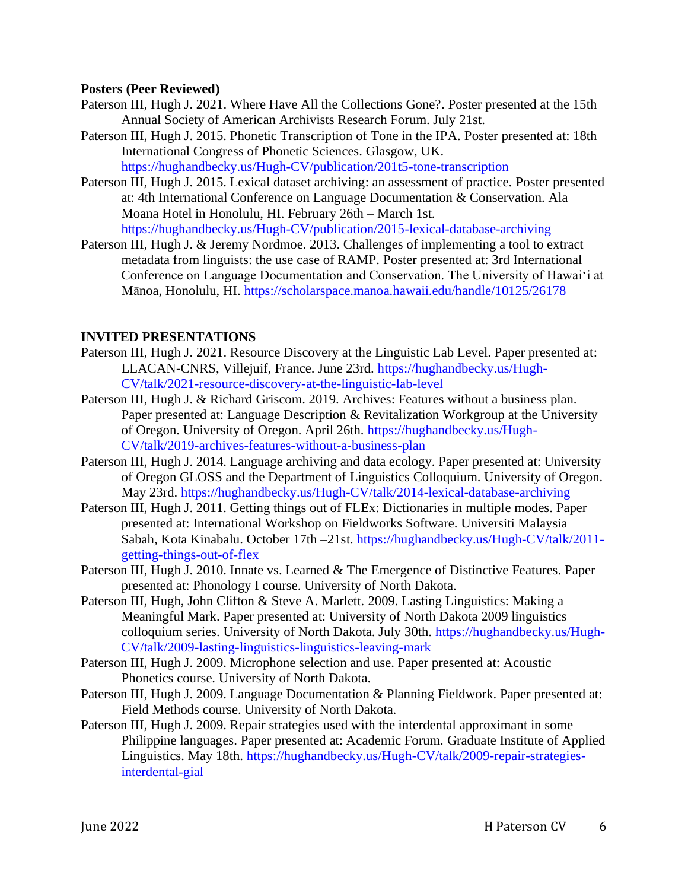### **Posters (Peer Reviewed)**

- Paterson III, Hugh J. 2021. Where Have All the Collections Gone?. Poster presented at the 15th Annual Society of American Archivists Research Forum. July 21st.
- Paterson III, Hugh J. 2015. Phonetic Transcription of Tone in the IPA. Poster presented at: 18th International Congress of Phonetic Sciences. Glasgow, UK. <https://hughandbecky.us/Hugh-CV/publication/201t5-tone-transcription>
- Paterson III, Hugh J. 2015. Lexical dataset archiving: an assessment of practice. Poster presented at: 4th International Conference on Language Documentation & Conservation. Ala Moana Hotel in Honolulu, HI. February 26th – March 1st. [https://hughandbecky.us/Hugh-CV/publication/2015-lexical-database-archiving](https://hughandbecky.us/Hugh-CV/publication/2015-lexical-database-archiving/)
- Paterson III, Hugh J. & Jeremy Nordmoe. 2013. Challenges of implementing a tool to extract metadata from linguists: the use case of RAMP. Poster presented at: 3rd International Conference on Language Documentation and Conservation. The University of Hawaiʻi at Mānoa, Honolulu, HI.<https://scholarspace.manoa.hawaii.edu/handle/10125/26178>

## **INVITED PRESENTATIONS**

- Paterson III, Hugh J. 2021. Resource Discovery at the Linguistic Lab Level. Paper presented at: LLACAN-CNRS, Villejuif, France. June 23rd. [https://hughandbecky.us/Hugh-](https://hughandbecky.us/Hugh-CV/talk/2021-resource-discovery-at-the-linguistic-lab-level)[CV/talk/2021-resource-discovery-at-the-linguistic-lab-level](https://hughandbecky.us/Hugh-CV/talk/2021-resource-discovery-at-the-linguistic-lab-level)
- Paterson III, Hugh J. & Richard Griscom. 2019. Archives: Features without a business plan. Paper presented at: Language Description & Revitalization Workgroup at the University of Oregon. University of Oregon. April 26th. [https://hughandbecky.us/Hugh-](https://hughandbecky.us/Hugh-CV/talk/2019-archives-features-without-a-business-plan)[CV/talk/2019-archives-features-without-a-business-plan](https://hughandbecky.us/Hugh-CV/talk/2019-archives-features-without-a-business-plan)
- Paterson III, Hugh J. 2014. Language archiving and data ecology. Paper presented at: University of Oregon GLOSS and the Department of Linguistics Colloquium. University of Oregon. May 23rd.<https://hughandbecky.us/Hugh-CV/talk/2014-lexical-database-archiving>
- Paterson III, Hugh J. 2011. Getting things out of FLEx: Dictionaries in multiple modes. Paper presented at: International Workshop on Fieldworks Software. Universiti Malaysia Sabah, Kota Kinabalu. October 17th –21st. [https://hughandbecky.us/Hugh-CV/talk/2011](https://hughandbecky.us/Hugh-CV/talk/2011-getting-things-out-of-flex) [getting-things-out-of-flex](https://hughandbecky.us/Hugh-CV/talk/2011-getting-things-out-of-flex)
- Paterson III, Hugh J. 2010. Innate vs. Learned & The Emergence of Distinctive Features. Paper presented at: Phonology I course. University of North Dakota.
- Paterson III, Hugh, John Clifton & Steve A. Marlett. 2009. Lasting Linguistics: Making a Meaningful Mark. Paper presented at: University of North Dakota 2009 linguistics colloquium series. University of North Dakota. July 30th. [https://hughandbecky.us/Hugh-](https://hughandbecky.us/Hugh-CV/talk/2009-lasting-linguistics-linguistics-leaving-mark)[CV/talk/2009-lasting-linguistics-linguistics-leaving-mark](https://hughandbecky.us/Hugh-CV/talk/2009-lasting-linguistics-linguistics-leaving-mark)
- Paterson III, Hugh J. 2009. Microphone selection and use. Paper presented at: Acoustic Phonetics course. University of North Dakota.
- Paterson III, Hugh J. 2009. Language Documentation & Planning Fieldwork. Paper presented at: Field Methods course. University of North Dakota.
- Paterson III, Hugh J. 2009. Repair strategies used with the interdental approximant in some Philippine languages. Paper presented at: Academic Forum. Graduate Institute of Applied Linguistics. May 18th. [https://hughandbecky.us/Hugh-CV/talk/2009-repair-strategies](https://hughandbecky.us/Hugh-CV/talk/2009-repair-strategies-interdental-gial)[interdental-gial](https://hughandbecky.us/Hugh-CV/talk/2009-repair-strategies-interdental-gial)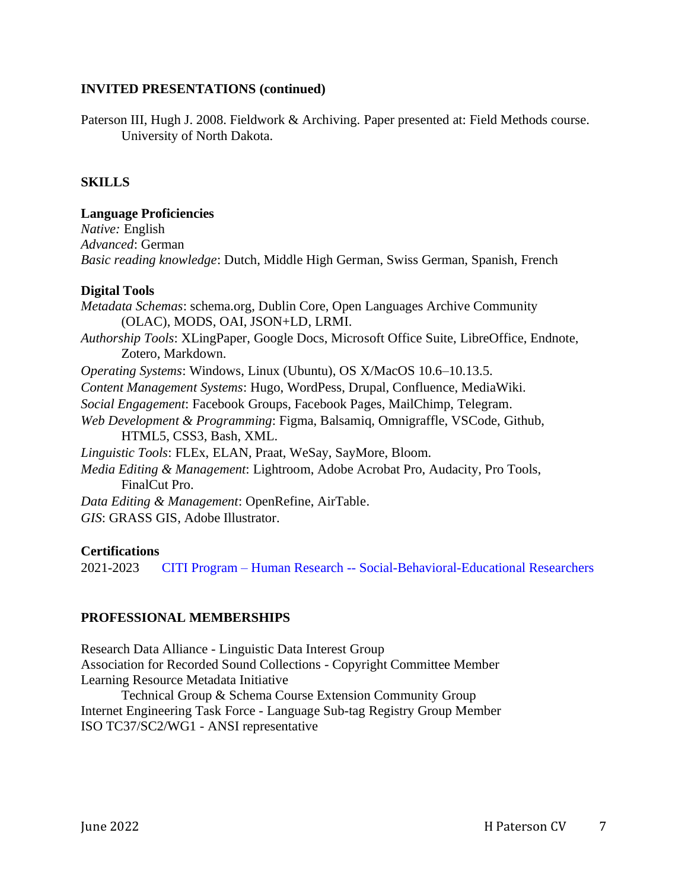### **INVITED PRESENTATIONS (continued)**

Paterson III, Hugh J. 2008. Fieldwork & Archiving. Paper presented at: Field Methods course. University of North Dakota.

### **SKILLS**

**Language Proficiencies** *Native:* English *Advanced*: German *Basic reading knowledge*: Dutch, Middle High German, Swiss German, Spanish, French

#### **Digital Tools**

*Metadata Schemas*: schema.org, Dublin Core, Open Languages Archive Community (OLAC), MODS, OAI, JSON+LD, LRMI. *Authorship Tools*: XLingPaper, Google Docs, Microsoft Office Suite, LibreOffice, Endnote, Zotero, Markdown. *Operating Systems*: Windows, Linux (Ubuntu), OS X/MacOS 10.6–10.13.5. *Content Management Systems*: Hugo, WordPess, Drupal, Confluence, MediaWiki. *Social Engagement*: Facebook Groups, Facebook Pages, MailChimp, Telegram. *Web Development & Programming*: Figma, Balsamiq, Omnigraffle, VSCode, Github, HTML5, CSS3, Bash, XML. *Linguistic Tools*: FLEx, ELAN, Praat, WeSay, SayMore, Bloom. *Media Editing & Management*: Lightroom, Adobe Acrobat Pro, Audacity, Pro Tools, FinalCut Pro. *Data Editing & Management*: OpenRefine, AirTable. *GIS*: GRASS GIS, Adobe Illustrator.

#### **Certifications**

2021-2023 CITI Program – Human Research -- [Social-Behavioral-Educational Researchers](https://www.citiprogram.org/verify/?w7bd46d72-fd7e-4429-9e91-19c11e6da1c3-45292926)

## **PROFESSIONAL MEMBERSHIPS**

Research Data Alliance - Linguistic Data Interest Group Association for Recorded Sound Collections - Copyright Committee Member Learning Resource Metadata Initiative

Technical Group & Schema Course Extension Community Group Internet Engineering Task Force - Language Sub-tag Registry Group Member ISO TC37/SC2/WG1 - ANSI representative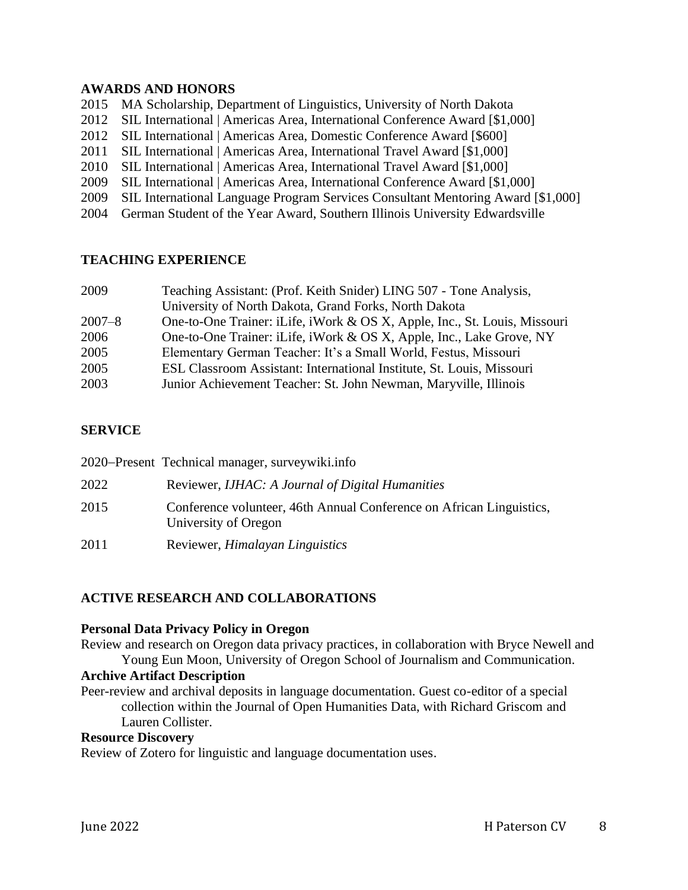### **AWARDS AND HONORS**

2015 MA Scholarship, Department of Linguistics, University of North Dakota

- 2012 SIL International | Americas Area, International Conference Award [\$1,000]
- 2012 SIL International | Americas Area, Domestic Conference Award [\$600]
- 2011 SIL International | Americas Area, International Travel Award [\$1,000]
- 2010 SIL International | Americas Area, International Travel Award [\$1,000]
- 2009 SIL International | Americas Area, International Conference Award [\$1,000]
- 2009 SIL International Language Program Services Consultant Mentoring Award [\$1,000]
- 2004 German Student of the Year Award, Southern Illinois University Edwardsville

## **TEACHING EXPERIENCE**

| 2009       | Teaching Assistant: (Prof. Keith Snider) LING 507 - Tone Analysis,        |
|------------|---------------------------------------------------------------------------|
|            | University of North Dakota, Grand Forks, North Dakota                     |
| $2007 - 8$ | One-to-One Trainer: iLife, iWork & OS X, Apple, Inc., St. Louis, Missouri |
| 2006       | One-to-One Trainer: iLife, iWork & OS X, Apple, Inc., Lake Grove, NY      |
| 2005       | Elementary German Teacher: It's a Small World, Festus, Missouri           |
| 2005       | ESL Classroom Assistant: International Institute, St. Louis, Missouri     |
| 2003       | Junior Achievement Teacher: St. John Newman, Maryville, Illinois          |

## **SERVICE**

|      | 2020–Present Technical manager, surveywiki.info                                              |
|------|----------------------------------------------------------------------------------------------|
| 2022 | Reviewer, IJHAC: A Journal of Digital Humanities                                             |
| 2015 | Conference volunteer, 46th Annual Conference on African Linguistics,<br>University of Oregon |
| 2011 | Reviewer, <i>Himalayan Linguistics</i>                                                       |

# **ACTIVE RESEARCH AND COLLABORATIONS**

#### **Personal Data Privacy Policy in Oregon**

Review and research on Oregon data privacy practices, in collaboration with Bryce Newell and Young Eun Moon, University of Oregon School of Journalism and Communication.

#### **Archive Artifact Description**

Peer-review and archival deposits in language documentation. Guest co-editor of a special collection within the Journal of Open Humanities Data, with Richard Griscom and Lauren Collister.

#### **Resource Discovery**

Review of Zotero for linguistic and language documentation uses.